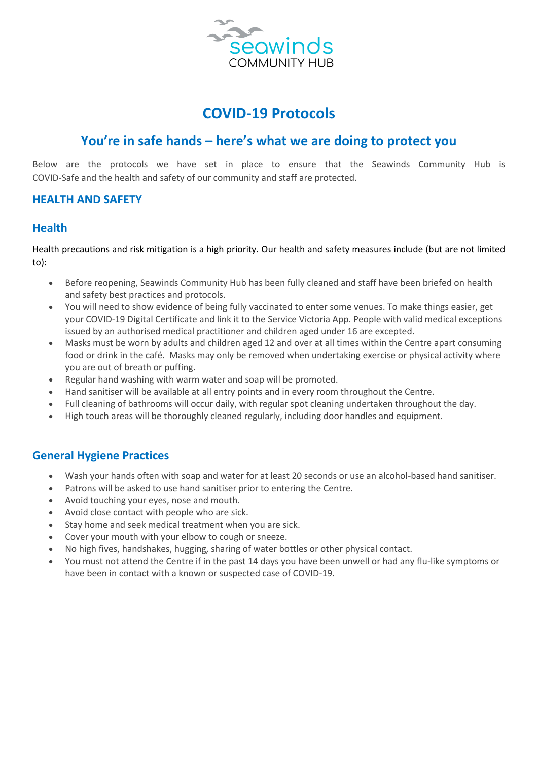

# **COVID-19 Protocols**

# **You're in safe hands – here's what we are doing to protect you**

Below are the protocols we have set in place to ensure that the Seawinds Community Hub is COVID-Safe and the health and safety of our community and staff are protected.

# **HEALTH AND SAFETY**

# **Health**

Health precautions and risk mitigation is a high priority. Our health and safety measures include (but are not limited to):

- Before reopening, Seawinds Community Hub has been fully cleaned and staff have been briefed on health and safety best practices and protocols.
- You will need to show evidence of being [fully vaccinated](https://www.coronavirus.vic.gov.au/node/19301) to enter some venues. To make things easier, get your [COVID-19 Digital Certificate](https://www.coronavirus.vic.gov.au/get-your-covid-19-vaccine-certificate) and link it to the Service Victoria App. People with valid medical exceptions issued by an authorised medical practitioner and children aged under 16 are excepted.
- Masks must be worn by adults and children aged 12 and over at all times within the Centre apart consuming food or drink in the café. Masks may only be removed when undertaking exercise or physical activity where you are out of breath or puffing.
- Regular hand washing with warm water and soap will be promoted.
- Hand sanitiser will be available at all entry points and in every room throughout the Centre.
- Full cleaning of bathrooms will occur daily, with regular spot cleaning undertaken throughout the day.
- High touch areas will be thoroughly cleaned regularly, including door handles and equipment.

# **General Hygiene Practices**

- Wash your hands often with soap and water for at least 20 seconds or use an alcohol-based hand sanitiser.
- Patrons will be asked to use hand sanitiser prior to entering the Centre.
- Avoid touching your eyes, nose and mouth.
- Avoid close contact with people who are sick.
- Stay home and seek medical treatment when you are sick.
- Cover your mouth with your elbow to cough or sneeze.
- No high fives, handshakes, hugging, sharing of water bottles or other physical contact.
- You must not attend the Centre if in the past 14 days you have been unwell or had any flu-like symptoms or have been in contact with a known or suspected case of COVID-19.